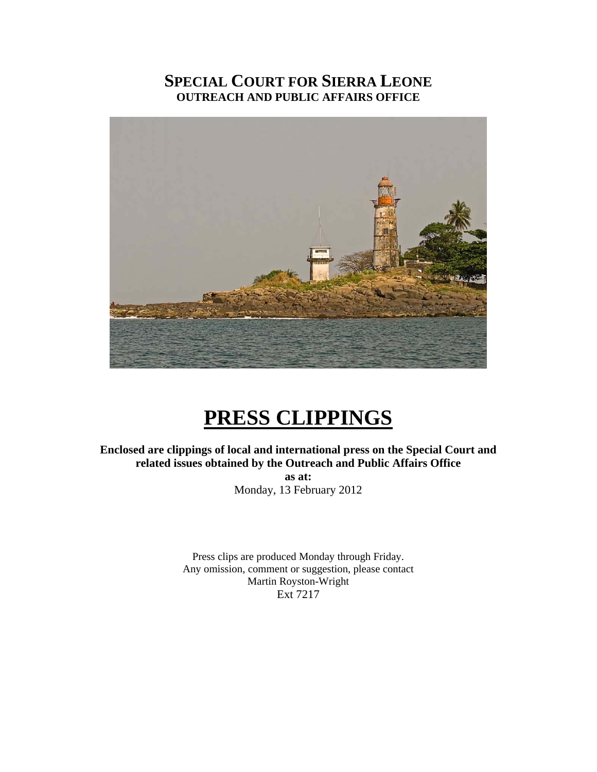# **SPECIAL COURT FOR SIERRA LEONE OUTREACH AND PUBLIC AFFAIRS OFFICE**



# **PRESS CLIPPINGS**

**Enclosed are clippings of local and international press on the Special Court and related issues obtained by the Outreach and Public Affairs Office as at:**  Monday, 13 February 2012

> Press clips are produced Monday through Friday. Any omission, comment or suggestion, please contact Martin Royston-Wright Ext 7217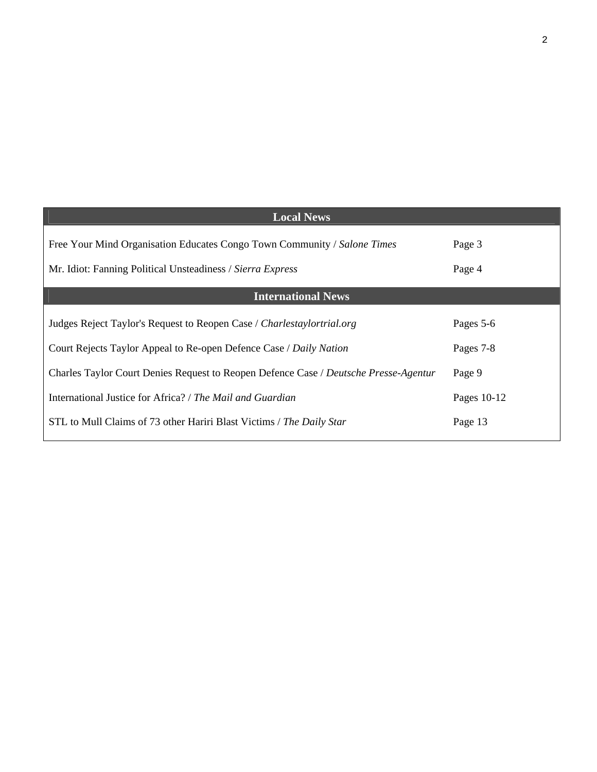| <b>Local News</b>                                                                    |             |
|--------------------------------------------------------------------------------------|-------------|
| Free Your Mind Organisation Educates Congo Town Community / Salone Times             | Page 3      |
| Mr. Idiot: Fanning Political Unsteadiness / Sierra Express                           | Page 4      |
| <b>International News</b>                                                            |             |
| Judges Reject Taylor's Request to Reopen Case / Charlestaylortrial.org               | Pages 5-6   |
| Court Rejects Taylor Appeal to Re-open Defence Case / Daily Nation                   | Pages 7-8   |
| Charles Taylor Court Denies Request to Reopen Defence Case / Deutsche Presse-Agentur | Page 9      |
| International Justice for Africa? / The Mail and Guardian                            | Pages 10-12 |
| STL to Mull Claims of 73 other Hariri Blast Victims / The Daily Star                 | Page 13     |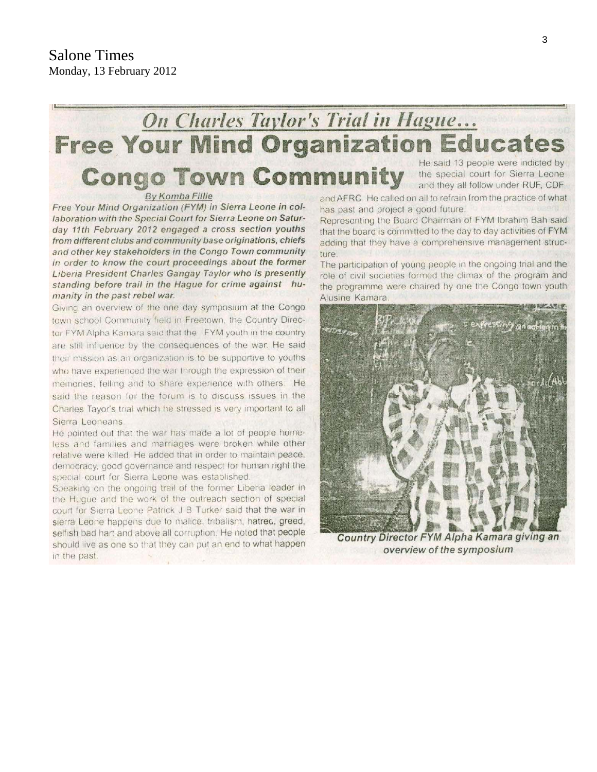#### On Charles Taylor's Trial in Hague... **Free Your Mind Organization Educates** He said 13 people were indicted by **Congo Town Community** the special court for Sierra Leone and they all follow under RUF, CDF By Komba Fillie

Free Your Mind Organization (FYM) in Sierra Leone in collaboration with the Special Court for Sierra Leone on Saturday 11th February 2012 engaged a cross section youths from different clubs and community base originations, chiefs and other key stakeholders in the Congo Town community in order to know the court proceedings about the former Liberia President Charles Gangay Taylor who is presently standing before trail in the Hague for crime against humanity in the past rebel war.

Giving an overview of the one day symposium at the Congo town school Community field in Freetown, the Country Director FYM Alpha Kamara said that the FYM youth in the country are still influence by the consequences of the war. He said their mission as an organization is to be supportive to youths who have experienced the war through the expression of their memories, felling and to share experience with others. He said the reason for the forum is to discuss issues in the Charles Tayor's trial which he stressed is very important to all Sierra Leoneans

He pointed out that the war has made a lot of people homeless and families and marriages were broken while other relative were killed. He added that in order to maintain peace, democracy, good governance and respect for human right the special court for Sierra Leone was established.

Speaking on the ongoing trail of the former Liberia leader in the Hugue and the work of the outreach section of special court for Sierra Leone Patrick J B Turker said that the war in sierra Leone happens due to malice, tribalism, hatred, greed, selfish bad hart and above all corruption. He noted that people should live as one so that they can put an end to what happen in the past.

and AFRC. He called on all to refrain from the practice of what has past and project a good future.

Representing the Board Chairman of FYM Ibrahim Bah said that the board is committed to the day to day activities of FYM adding that they have a comprehensive management structure.

The participation of young people in the ongoing trial and the role of civil societies formed the climax of the program and the programme were chaired by one the Congo town youth Alusine Kamara



Country Director FYM Alpha Kamara giving an overview of the symposium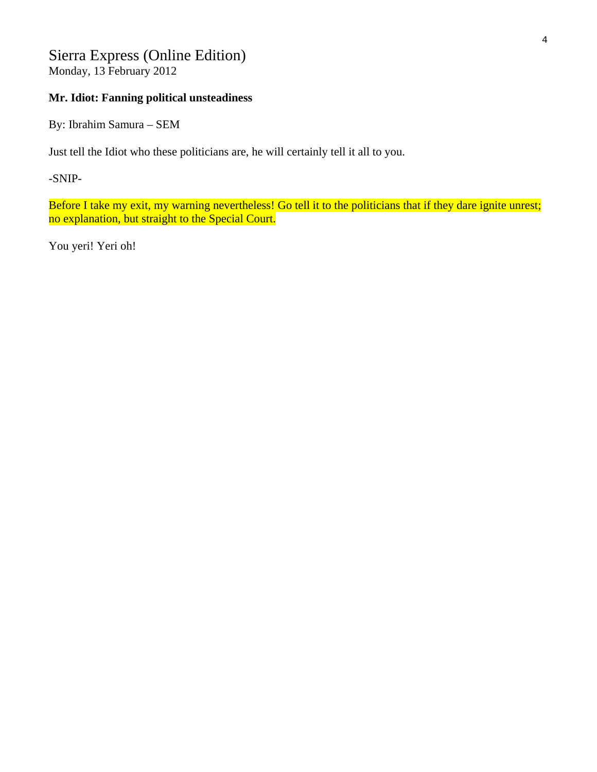# Sierra Express (Online Edition)

Monday, 13 February 2012

# **Mr. Idiot: Fanning political unsteadiness**

By: Ibrahim Samura – SEM

Just tell the Idiot who these politicians are, he will certainly tell it all to you.

-SNIP-

Before I take my exit, my warning nevertheless! Go tell it to the politicians that if they dare ignite unrest; no explanation, but straight to the Special Court.

You yeri! Yeri oh!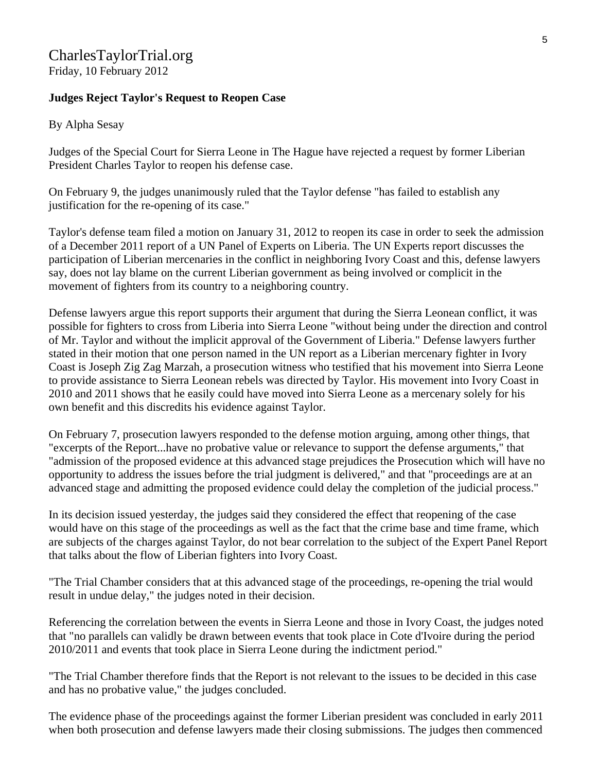## CharlesTaylorTrial.org Friday, 10 February 2012

**Judges Reject Taylor's Request to Reopen Case** 

#### By Alpha Sesay

Judges of the Special Court for Sierra Leone in The Hague have rejected a request by former Liberian President Charles Taylor to reopen his defense case.

On February 9, the judges unanimously ruled that the Taylor defense "has failed to establish any justification for the re-opening of its case."

Taylor's defense team filed a motion on January 31, 2012 to reopen its case in order to seek the admission of a December 2011 report of a UN Panel of Experts on Liberia. The UN Experts report discusses the participation of Liberian mercenaries in the conflict in neighboring Ivory Coast and this, defense lawyers say, does not lay blame on the current Liberian government as being involved or complicit in the movement of fighters from its country to a neighboring country.

Defense lawyers argue this report supports their argument that during the Sierra Leonean conflict, it was possible for fighters to cross from Liberia into Sierra Leone "without being under the direction and control of Mr. Taylor and without the implicit approval of the Government of Liberia." Defense lawyers further stated in their motion that one person named in the UN report as a Liberian mercenary fighter in Ivory Coast is Joseph Zig Zag Marzah, a prosecution witness who testified that his movement into Sierra Leone to provide assistance to Sierra Leonean rebels was directed by Taylor. His movement into Ivory Coast in 2010 and 2011 shows that he easily could have moved into Sierra Leone as a mercenary solely for his own benefit and this discredits his evidence against Taylor.

On February 7, prosecution lawyers responded to the defense motion arguing, among other things, that "excerpts of the Report...have no probative value or relevance to support the defense arguments," that "admission of the proposed evidence at this advanced stage prejudices the Prosecution which will have no opportunity to address the issues before the trial judgment is delivered," and that "proceedings are at an advanced stage and admitting the proposed evidence could delay the completion of the judicial process."

In its decision issued yesterday, the judges said they considered the effect that reopening of the case would have on this stage of the proceedings as well as the fact that the crime base and time frame, which are subjects of the charges against Taylor, do not bear correlation to the subject of the Expert Panel Report that talks about the flow of Liberian fighters into Ivory Coast.

"The Trial Chamber considers that at this advanced stage of the proceedings, re-opening the trial would result in undue delay," the judges noted in their decision.

Referencing the correlation between the events in Sierra Leone and those in Ivory Coast, the judges noted that "no parallels can validly be drawn between events that took place in Cote d'Ivoire during the period 2010/2011 and events that took place in Sierra Leone during the indictment period."

"The Trial Chamber therefore finds that the Report is not relevant to the issues to be decided in this case and has no probative value," the judges concluded.

The evidence phase of the proceedings against the former Liberian president was concluded in early 2011 when both prosecution and defense lawyers made their closing submissions. The judges then commenced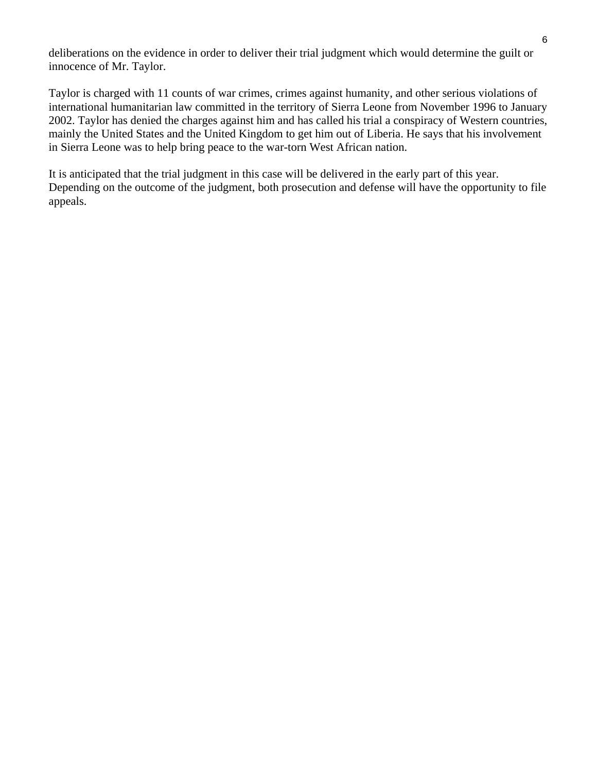deliberations on the evidence in order to deliver their trial judgment which would determine the guilt or innocence of Mr. Taylor.

Taylor is charged with 11 counts of war crimes, crimes against humanity, and other serious violations of international humanitarian law committed in the territory of Sierra Leone from November 1996 to January 2002. Taylor has denied the charges against him and has called his trial a conspiracy of Western countries, mainly the United States and the United Kingdom to get him out of Liberia. He says that his involvement in Sierra Leone was to help bring peace to the war-torn West African nation.

It is anticipated that the trial judgment in this case will be delivered in the early part of this year. Depending on the outcome of the judgment, both prosecution and defense will have the opportunity to file appeals.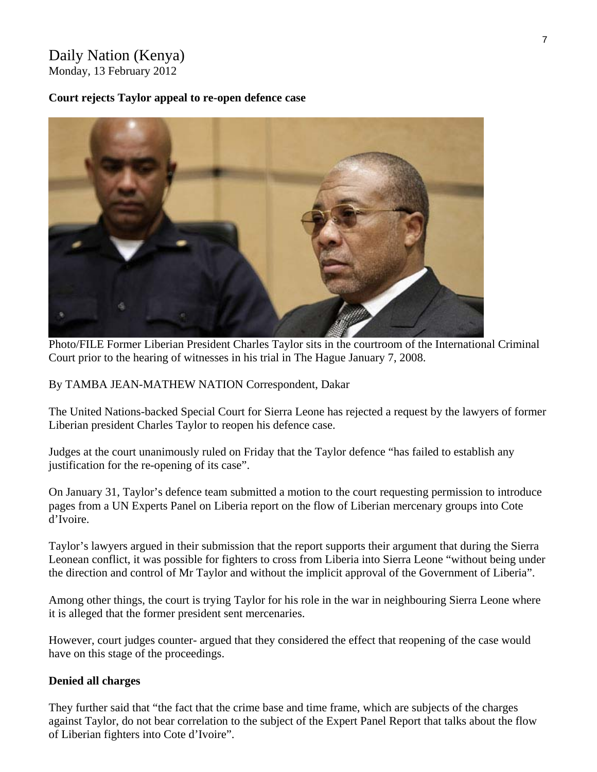# Daily Nation (Kenya) Monday, 13 February 2012

#### **Court rejects Taylor appeal to re-open defence case**



Photo/FILE Former Liberian President Charles Taylor sits in the courtroom of the International Criminal Court prior to the hearing of witnesses in his trial in The Hague January 7, 2008.

By TAMBA JEAN-MATHEW NATION Correspondent, Dakar

The United Nations-backed Special Court for Sierra Leone has rejected a request by the lawyers of former Liberian president Charles Taylor to reopen his defence case.

Judges at the court unanimously ruled on Friday that the Taylor defence "has failed to establish any justification for the re-opening of its case".

On January 31, Taylor's defence team submitted a motion to the court requesting permission to introduce pages from a UN Experts Panel on Liberia report on the flow of Liberian mercenary groups into Cote d'Ivoire.

Taylor's lawyers argued in their submission that the report supports their argument that during the Sierra Leonean conflict, it was possible for fighters to cross from Liberia into Sierra Leone "without being under the direction and control of Mr Taylor and without the implicit approval of the Government of Liberia".

Among other things, the court is trying Taylor for his role in the war in neighbouring Sierra Leone where it is alleged that the former president sent mercenaries.

However, court judges counter- argued that they considered the effect that reopening of the case would have on this stage of the proceedings.

#### **Denied all charges**

They further said that "the fact that the crime base and time frame, which are subjects of the charges against Taylor, do not bear correlation to the subject of the Expert Panel Report that talks about the flow of Liberian fighters into Cote d'Ivoire".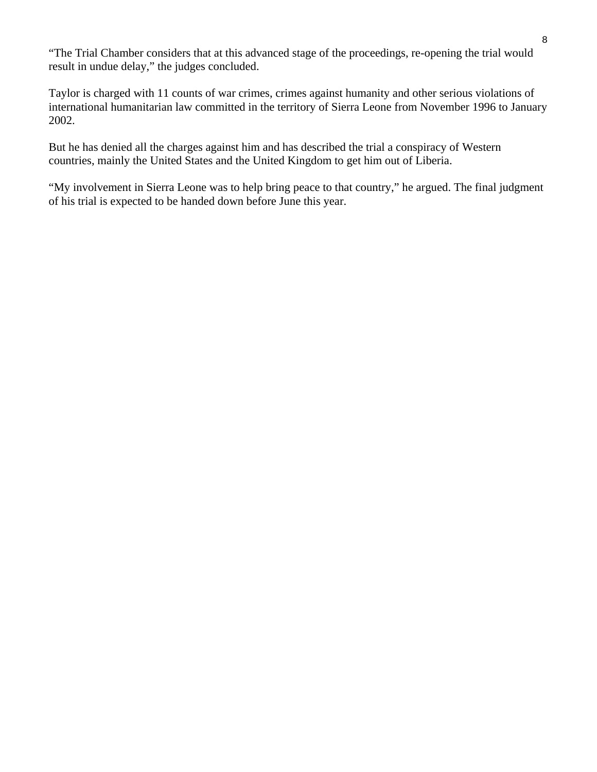"The Trial Chamber considers that at this advanced stage of the proceedings, re-opening the trial would result in undue delay," the judges concluded.

Taylor is charged with 11 counts of war crimes, crimes against humanity and other serious violations of international humanitarian law committed in the territory of Sierra Leone from November 1996 to January 2002.

But he has denied all the charges against him and has described the trial a conspiracy of Western countries, mainly the United States and the United Kingdom to get him out of Liberia.

"My involvement in Sierra Leone was to help bring peace to that country," he argued. The final judgment of his trial is expected to be handed down before June this year.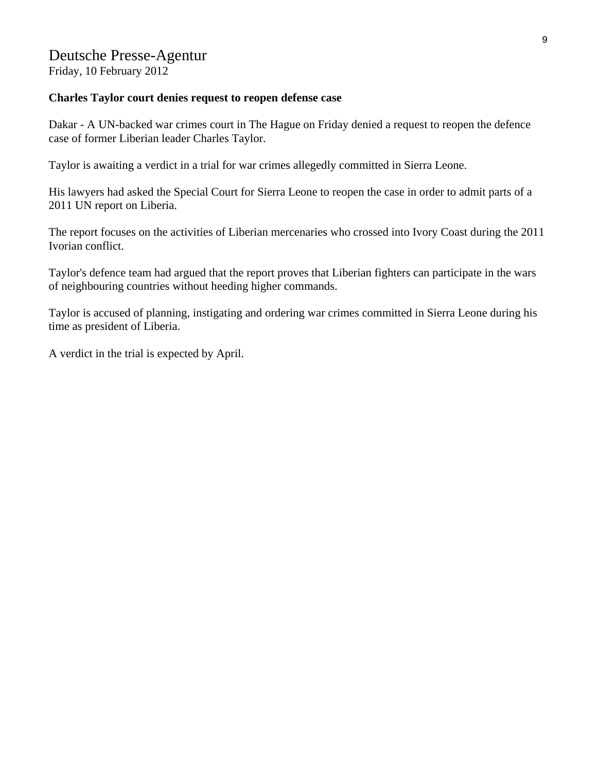# Deutsche Presse-Agentur

Friday, 10 February 2012

#### **Charles Taylor court denies request to reopen defense case**

Dakar - A UN-backed war crimes court in The Hague on Friday denied a request to reopen the defence case of former Liberian leader Charles Taylor.

Taylor is awaiting a verdict in a trial for war crimes allegedly committed in Sierra Leone.

His lawyers had asked the Special Court for Sierra Leone to reopen the case in order to admit parts of a 2011 UN report on Liberia.

The report focuses on the activities of Liberian mercenaries who crossed into Ivory Coast during the 2011 Ivorian conflict.

Taylor's defence team had argued that the report proves that Liberian fighters can participate in the wars of neighbouring countries without heeding higher commands.

Taylor is accused of planning, instigating and ordering war crimes committed in Sierra Leone during his time as president of Liberia.

A verdict in the trial is expected by April.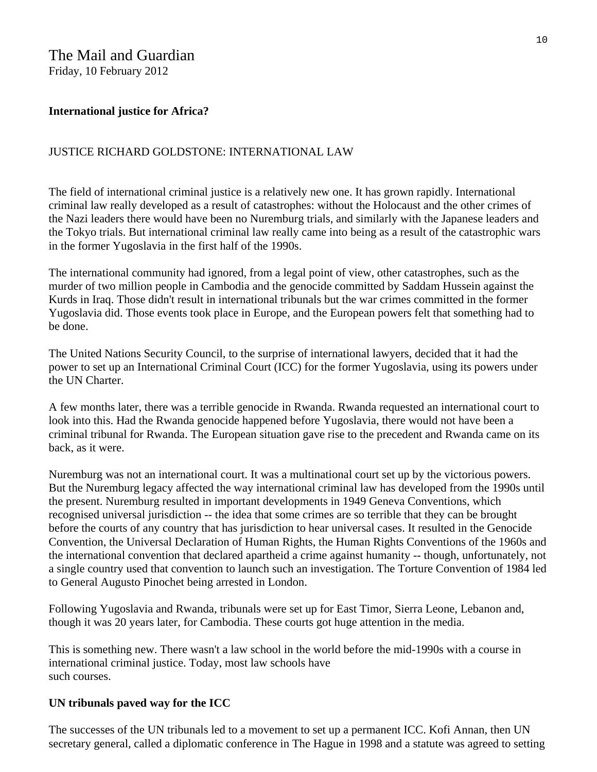# The Mail and Guardian

Friday, 10 February 2012

# **International justice for Africa?**

# JUSTICE RICHARD GOLDSTONE: INTERNATIONAL LAW

The field of international criminal justice is a relatively new one. It has grown rapidly. International criminal law really developed as a result of catastrophes: without the Holocaust and the other crimes of the Nazi leaders there would have been no Nuremburg trials, and similarly with the Japanese leaders and the Tokyo trials. But international criminal law really came into being as a result of the catastrophic wars in the former Yugoslavia in the first half of the 1990s.

The international community had ignored, from a legal point of view, other catastrophes, such as the murder of two million people in Cambodia and the genocide committed by Saddam Hussein against the Kurds in Iraq. Those didn't result in international tribunals but the war crimes committed in the former Yugoslavia did. Those events took place in Europe, and the European powers felt that something had to be done.

The United Nations Security Council, to the surprise of international lawyers, decided that it had the power to set up an International Criminal Court (ICC) for the former Yugoslavia, using its powers under the UN Charter.

A few months later, there was a terrible genocide in Rwanda. Rwanda requested an international court to look into this. Had the Rwanda genocide happened before Yugoslavia, there would not have been a criminal tribunal for Rwanda. The European situation gave rise to the precedent and Rwanda came on its back, as it were.

Nuremburg was not an international court. It was a multinational court set up by the victorious powers. But the Nuremburg legacy affected the way international criminal law has developed from the 1990s until the present. Nuremburg resulted in important developments in 1949 Geneva Conventions, which recognised universal jurisdiction -- the idea that some crimes are so terrible that they can be brought before the courts of any country that has jurisdiction to hear universal cases. It resulted in the Genocide Convention, the Universal Declaration of Human Rights, the Human Rights Conventions of the 1960s and the international convention that declared apartheid a crime against humanity -- though, unfortunately, not a single country used that convention to launch such an investigation. The Torture Convention of 1984 led to General Augusto Pinochet being arrested in London.

Following Yugoslavia and Rwanda, tribunals were set up for East Timor, Sierra Leone, Lebanon and, though it was 20 years later, for Cambodia. These courts got huge attention in the media.

This is something new. There wasn't a law school in the world before the mid-1990s with a course in international criminal justice. Today, most law schools have such courses.

# **UN tribunals paved way for the ICC**

The successes of the UN tribunals led to a movement to set up a permanent ICC. Kofi Annan, then UN secretary general, called a diplomatic conference in The Hague in 1998 and a statute was agreed to setting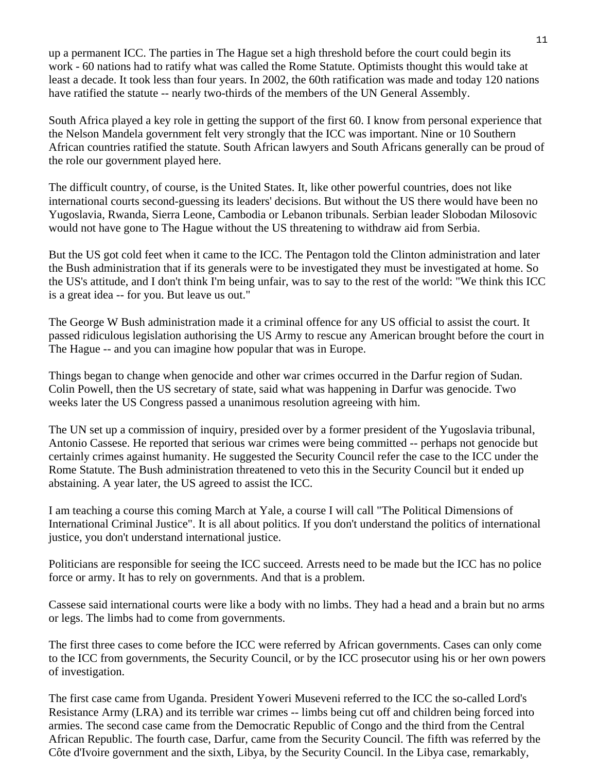up a permanent ICC. The parties in The Hague set a high threshold before the court could begin its work - 60 nations had to ratify what was called the Rome Statute. Optimists thought this would take at least a decade. It took less than four years. In 2002, the 60th ratification was made and today 120 nations have ratified the statute -- nearly two-thirds of the members of the UN General Assembly.

South Africa played a key role in getting the support of the first 60. I know from personal experience that the Nelson Mandela government felt very strongly that the ICC was important. Nine or 10 Southern African countries ratified the statute. South African lawyers and South Africans generally can be proud of the role our government played here.

The difficult country, of course, is the United States. It, like other powerful countries, does not like international courts second-guessing its leaders' decisions. But without the US there would have been no Yugoslavia, Rwanda, Sierra Leone, Cambodia or Lebanon tribunals. Serbian leader Slobodan Milosovic would not have gone to The Hague without the US threatening to withdraw aid from Serbia.

But the US got cold feet when it came to the ICC. The Pentagon told the Clinton administration and later the Bush administration that if its generals were to be investigated they must be investigated at home. So the US's attitude, and I don't think I'm being unfair, was to say to the rest of the world: "We think this ICC is a great idea -- for you. But leave us out."

The George W Bush administration made it a criminal offence for any US official to assist the court. It passed ridiculous legislation authorising the US Army to rescue any American brought before the court in The Hague -- and you can imagine how popular that was in Europe.

Things began to change when genocide and other war crimes occurred in the Darfur region of Sudan. Colin Powell, then the US secretary of state, said what was happening in Darfur was genocide. Two weeks later the US Congress passed a unanimous resolution agreeing with him.

The UN set up a commission of inquiry, presided over by a former president of the Yugoslavia tribunal, Antonio Cassese. He reported that serious war crimes were being committed -- perhaps not genocide but certainly crimes against humanity. He suggested the Security Council refer the case to the ICC under the Rome Statute. The Bush administration threatened to veto this in the Security Council but it ended up abstaining. A year later, the US agreed to assist the ICC.

I am teaching a course this coming March at Yale, a course I will call "The Political Dimensions of International Criminal Justice". It is all about politics. If you don't understand the politics of international justice, you don't understand international justice.

Politicians are responsible for seeing the ICC succeed. Arrests need to be made but the ICC has no police force or army. It has to rely on governments. And that is a problem.

Cassese said international courts were like a body with no limbs. They had a head and a brain but no arms or legs. The limbs had to come from governments.

The first three cases to come before the ICC were referred by African governments. Cases can only come to the ICC from governments, the Security Council, or by the ICC prosecutor using his or her own powers of investigation.

The first case came from Uganda. President Yoweri Museveni referred to the ICC the so-called Lord's Resistance Army (LRA) and its terrible war crimes -- limbs being cut off and children being forced into armies. The second case came from the Democratic Republic of Congo and the third from the Central African Republic. The fourth case, Darfur, came from the Security Council. The fifth was referred by the Côte d'Ivoire government and the sixth, Libya, by the Security Council. In the Libya case, remarkably,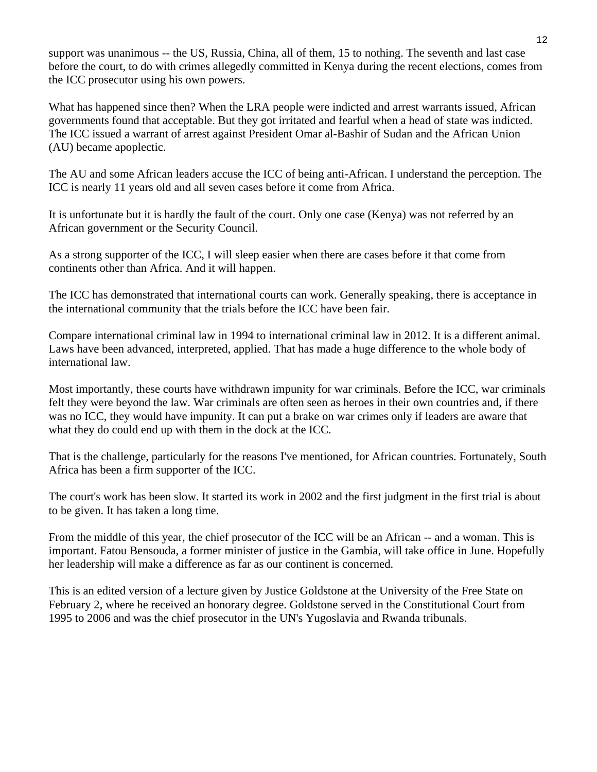support was unanimous -- the US, Russia, China, all of them, 15 to nothing. The seventh and last case before the court, to do with crimes allegedly committed in Kenya during the recent elections, comes from the ICC prosecutor using his own powers.

What has happened since then? When the LRA people were indicted and arrest warrants issued, African governments found that acceptable. But they got irritated and fearful when a head of state was indicted. The ICC issued a warrant of arrest against President Omar al-Bashir of Sudan and the African Union (AU) became apoplectic.

The AU and some African leaders accuse the ICC of being anti-African. I understand the perception. The ICC is nearly 11 years old and all seven cases before it come from Africa.

It is unfortunate but it is hardly the fault of the court. Only one case (Kenya) was not referred by an African government or the Security Council.

As a strong supporter of the ICC, I will sleep easier when there are cases before it that come from continents other than Africa. And it will happen.

The ICC has demonstrated that international courts can work. Generally speaking, there is acceptance in the international community that the trials before the ICC have been fair.

Compare international criminal law in 1994 to international criminal law in 2012. It is a different animal. Laws have been advanced, interpreted, applied. That has made a huge difference to the whole body of international law.

Most importantly, these courts have withdrawn impunity for war criminals. Before the ICC, war criminals felt they were beyond the law. War criminals are often seen as heroes in their own countries and, if there was no ICC, they would have impunity. It can put a brake on war crimes only if leaders are aware that what they do could end up with them in the dock at the ICC.

That is the challenge, particularly for the reasons I've mentioned, for African countries. Fortunately, South Africa has been a firm supporter of the ICC.

The court's work has been slow. It started its work in 2002 and the first judgment in the first trial is about to be given. It has taken a long time.

From the middle of this year, the chief prosecutor of the ICC will be an African -- and a woman. This is important. Fatou Bensouda, a former minister of justice in the Gambia, will take office in June. Hopefully her leadership will make a difference as far as our continent is concerned.

This is an edited version of a lecture given by Justice Goldstone at the University of the Free State on February 2, where he received an honorary degree. Goldstone served in the Constitutional Court from 1995 to 2006 and was the chief prosecutor in the UN's Yugoslavia and Rwanda tribunals.